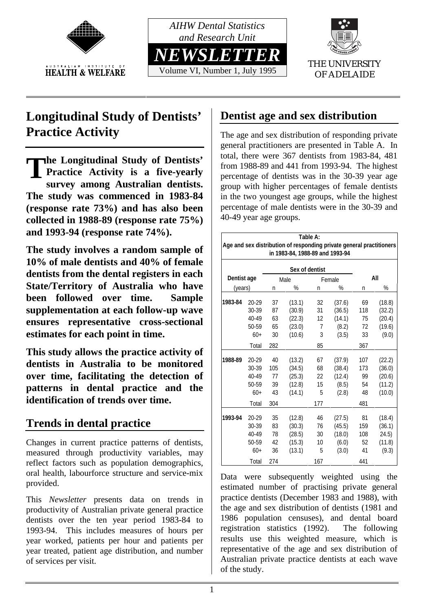



Volume VI, Number 1, July 1995



OF ADELAIDE

# **Longitudinal Study of Dentists' Practice Activity**

**he Longitudinal Study of Dentists'**<br>Practice Activity is a five-yearly<br>survey among Australian dentists **Practice Activity is a five-yearly survey among Australian dentists. The study was commenced in 1983-84 (response rate 73%) and has also been collected in 1988-89 (response rate 75%) and 1993-94 (response rate 74%).**

**The study involves a random sample of 10% of male dentists and 40% of female dentists from the dental registers in each State/Territory of Australia who have been followed over time. Sample supplementation at each follow-up wave ensures representative cross-sectional estimates for each point in time.**

**This study allows the practice activity of dentists in Australia to be monitored over time, facilitating the detection of patterns in dental practice and the identification of trends over time.**

# **Trends in dental practice**

Changes in current practice patterns of dentists, measured through productivity variables, may reflect factors such as population demographics, oral health, labourforce structure and service-mix provided.

This *Newsletter* presents data on trends in productivity of Australian private general practice dentists over the ten year period 1983-84 to 1993-94. This includes measures of hours per year worked, patients per hour and patients per year treated, patient age distribution, and number of services per visit.

# **Dentist age and sex distribution**

The age and sex distribution of responding private general practitioners are presented in Table A. In total, there were 367 dentists from 1983-84, 481 from 1988-89 and 441 from 1993-94. The highest percentage of dentists was in the 30-39 year age group with higher percentages of female dentists in the two youngest age groups, while the highest percentage of male dentists were in the 30-39 and 40-49 year age groups.

| Table A:<br>Age and sex distribution of responding private general practitioners<br>in 1983-84, 1988-89 and 1993-94 |           |      |        |                |        |     |        |  |
|---------------------------------------------------------------------------------------------------------------------|-----------|------|--------|----------------|--------|-----|--------|--|
| Sex of dentist                                                                                                      |           |      |        |                |        |     |        |  |
| Dentist age                                                                                                         |           | Male |        | Female         |        | All |        |  |
| (years)                                                                                                             |           | n    | %      | n              | %      | n   | %      |  |
| 1983-84                                                                                                             | $20 - 29$ | 37   | (13.1) | 32             | (37.6) | 69  | (18.8) |  |
|                                                                                                                     | 30-39     | 87   | (30.9) | 31             | (36.5) | 118 | (32.2) |  |
|                                                                                                                     | 40-49     | 63   | (22.3) | 12             | (14.1) | 75  | (20.4) |  |
|                                                                                                                     | 50-59     | 65   | (23.0) | $\overline{7}$ | (8.2)  | 72  | (19.6) |  |
|                                                                                                                     | $60+$     | 30   | (10.6) | 3              | (3.5)  | 33  | (9.0)  |  |
|                                                                                                                     | Total     | 282  |        | 85             |        | 367 |        |  |
| 1988-89                                                                                                             | $20 - 29$ | 40   | (13.2) | 67             | (37.9) | 107 | (22.2) |  |
|                                                                                                                     | 30-39     | 105  | (34.5) | 68             | (38.4) | 173 | (36.0) |  |
|                                                                                                                     | 40-49     | 77   | (25.3) | 22             | (12.4) | 99  | (20.6) |  |
|                                                                                                                     | 50-59     | 39   | (12.8) | 15             | (8.5)  | 54  | (11.2) |  |
|                                                                                                                     | $60+$     | 43   | (14.1) | 5              | (2.8)  | 48  | (10.0) |  |
|                                                                                                                     | Total     | 304  |        | 177            |        | 481 |        |  |
| 1993-94                                                                                                             | $20 - 29$ | 35   | (12.8) | 46             | (27.5) | 81  | (18.4) |  |
|                                                                                                                     | 30-39     | 83   | (30.3) | 76             | (45.5) | 159 | (36.1) |  |
|                                                                                                                     | 40-49     | 78   | (28.5) | 30             | (18.0) | 108 | 24.5)  |  |
|                                                                                                                     | 50-59     | 42   | (15.3) | 10             | (6.0)  | 52  | (11.8) |  |
|                                                                                                                     | $60+$     | 36   | (13.1) | 5              | (3.0)  | 41  | (9.3)  |  |
|                                                                                                                     | Total     | 274  |        | 167            |        | 441 |        |  |

Data were subsequently weighted using the estimated number of practising private general practice dentists (December 1983 and 1988), with the age and sex distribution of dentists (1981 and 1986 population censuses), and dental board registration statistics (1992). The following results use this weighted measure, which is representative of the age and sex distribution of Australian private practice dentists at each wave of the study.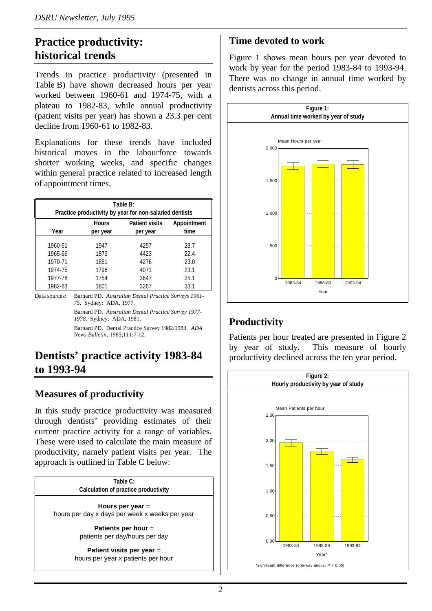## **Practice productivity: historical trends**

Trends in practice productivity (presented in Table B) have shown decreased hours per year worked between 1960-61 and 1974-75, with a plateau to 1982-83, while annual productivity (patient visits per year) has shown a 23.3 per cent decline from 1960-61 to 1982-83.

Explanations for these trends have included historical moves in the labourforce towards shorter working weeks, and specific changes within general practice related to increased length of appointment times.

| Table B:<br>Practice productivity by year for non-salaried dentists |                          |                                   |                     |  |  |  |
|---------------------------------------------------------------------|--------------------------|-----------------------------------|---------------------|--|--|--|
| Year                                                                | <b>Hours</b><br>per year | <b>Patient visits</b><br>per year | Appointment<br>time |  |  |  |
| 1960-61                                                             | 1947                     | 4257                              | 23.7                |  |  |  |
| 1965-66                                                             | 1873                     | 4423                              | 22.4                |  |  |  |
| 1970-71                                                             | 1851                     | 4276                              | 23.0                |  |  |  |
| 1974-75                                                             | 1796                     | 4071                              | 23.1                |  |  |  |
| 1977-78                                                             | 1754                     | 3647                              | 25.1                |  |  |  |
| 1982-83                                                             | 1801                     | 3267                              | 33.1                |  |  |  |

Data sources: Barnard PD. *Australian Dental Practice Surveys 1961- 75*. Sydney: ADA, 1977.

> Barnard PD. *Australian Dental Practice Survey 1977- 1978*. Sydney: ADA, 1981.

> Barnard PD. Dental Practice Survey 1982/1983. *ADA News Bulletin*, 1985;111:7-12.

### **Dentists' practice activity 1983-84 to 1993-94**

#### **Measures of productivity**

In this study practice productivity was measured through dentists' providing estimates of their current practice activity for a range of variables. These were used to calculate the main measure of productivity, namely patient visits per year. The approach is outlined in Table C below:



#### **Time devoted to work**

Figure 1 shows mean hours per year devoted to work by year for the period 1983-84 to 1993-94. There was no change in annual time worked by dentists across this period.



### **Productivity**

Patients per hour treated are presented in Figure 2 by year of study. This measure of hourly productivity declined across the ten year period.

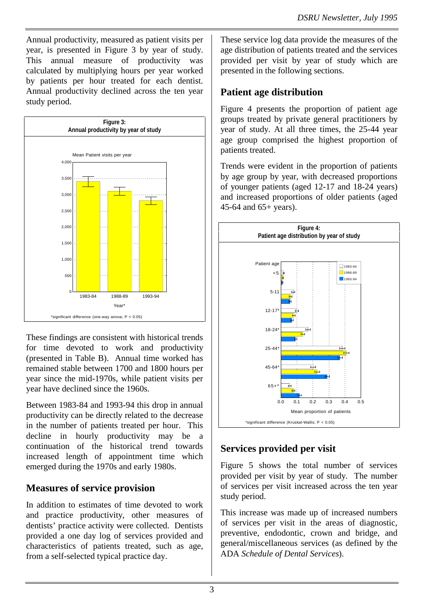Annual productivity, measured as patient visits per year, is presented in Figure 3 by year of study. This annual measure of productivity was calculated by multiplying hours per year worked by patients per hour treated for each dentist. Annual productivity declined across the ten year study period.



These findings are consistent with historical trends for time devoted to work and productivity (presented in Table B). Annual time worked has remained stable between 1700 and 1800 hours per year since the mid-1970s, while patient visits per year have declined since the 1960s.

Between 1983-84 and 1993-94 this drop in annual productivity can be directly related to the decrease in the number of patients treated per hour. This decline in hourly productivity may be a continuation of the historical trend towards increased length of appointment time which emerged during the 1970s and early 1980s.

#### **Measures of service provision**

In addition to estimates of time devoted to work and practice productivity, other measures of dentists' practice activity were collected. Dentists provided a one day log of services provided and characteristics of patients treated, such as age, from a self-selected typical practice day.

These service log data provide the measures of the age distribution of patients treated and the services provided per visit by year of study which are presented in the following sections.

#### **Patient age distribution**

Figure 4 presents the proportion of patient age groups treated by private general practitioners by year of study. At all three times, the 25-44 year age group comprised the highest proportion of patients treated.

Trends were evident in the proportion of patients by age group by year, with decreased proportions of younger patients (aged 12-17 and 18-24 years) and increased proportions of older patients (aged 45-64 and 65+ years).



### **Services provided per visit**

Figure 5 shows the total number of services provided per visit by year of study. The number of services per visit increased across the ten year study period.

This increase was made up of increased numbers of services per visit in the areas of diagnostic, preventive, endodontic, crown and bridge, and general/miscellaneous services (as defined by the ADA *Schedule of Dental Services*).